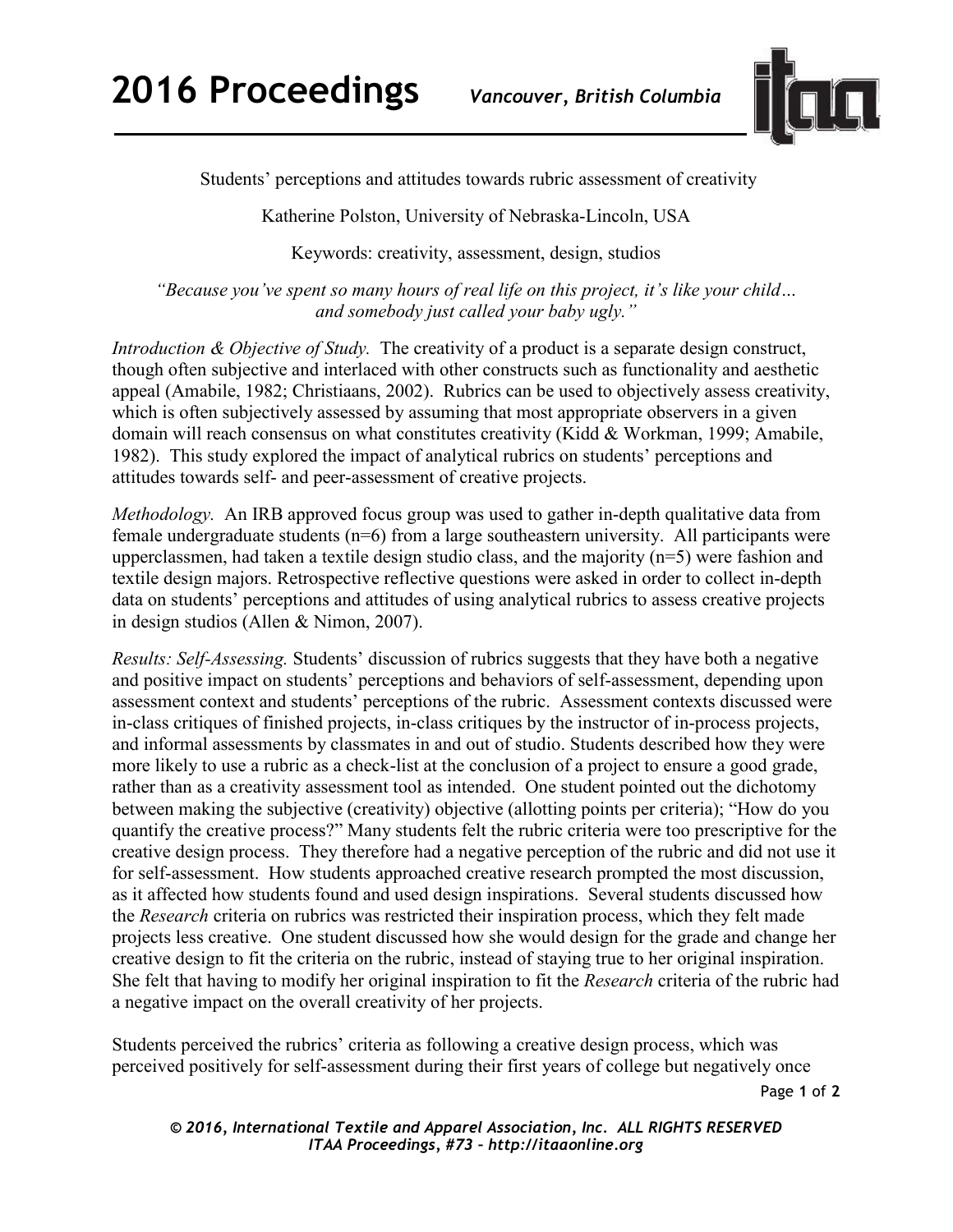

Students' perceptions and attitudes towards rubric assessment of creativity

Katherine Polston, University of Nebraska-Lincoln, USA

Keywords: creativity, assessment, design, studios

*"Because you've spent so many hours of real life on this project, it's like your child… and somebody just called your baby ugly."* 

*Introduction & Objective of Study.* The creativity of a product is a separate design construct, though often subjective and interlaced with other constructs such as functionality and aesthetic appeal (Amabile, 1982; Christiaans, 2002). Rubrics can be used to objectively assess creativity, which is often subjectively assessed by assuming that most appropriate observers in a given domain will reach consensus on what constitutes creativity (Kidd & Workman, 1999; Amabile, 1982). This study explored the impact of analytical rubrics on students' perceptions and attitudes towards self- and peer-assessment of creative projects.

*Methodology.* An IRB approved focus group was used to gather in-depth qualitative data from female undergraduate students (n=6) from a large southeastern university. All participants were upperclassmen, had taken a textile design studio class, and the majority (n=5) were fashion and textile design majors. Retrospective reflective questions were asked in order to collect in-depth data on students' perceptions and attitudes of using analytical rubrics to assess creative projects in design studios (Allen & Nimon, 2007).

*Results: Self-Assessing.* Students' discussion of rubrics suggests that they have both a negative and positive impact on students' perceptions and behaviors of self-assessment, depending upon assessment context and students' perceptions of the rubric. Assessment contexts discussed were in-class critiques of finished projects, in-class critiques by the instructor of in-process projects, and informal assessments by classmates in and out of studio. Students described how they were more likely to use a rubric as a check-list at the conclusion of a project to ensure a good grade, rather than as a creativity assessment tool as intended. One student pointed out the dichotomy between making the subjective (creativity) objective (allotting points per criteria); "How do you quantify the creative process?" Many students felt the rubric criteria were too prescriptive for the creative design process. They therefore had a negative perception of the rubric and did not use it for self-assessment. How students approached creative research prompted the most discussion, as it affected how students found and used design inspirations. Several students discussed how the *Research* criteria on rubrics was restricted their inspiration process, which they felt made projects less creative. One student discussed how she would design for the grade and change her creative design to fit the criteria on the rubric, instead of staying true to her original inspiration. She felt that having to modify her original inspiration to fit the *Research* criteria of the rubric had a negative impact on the overall creativity of her projects.

Students perceived the rubrics' criteria as following a creative design process, which was perceived positively for self-assessment during their first years of college but negatively once

Page **1** of **2** 

*© 2016, International Textile and Apparel Association, Inc. ALL RIGHTS RESERVED ITAA Proceedings, #73 – http://itaaonline.org*